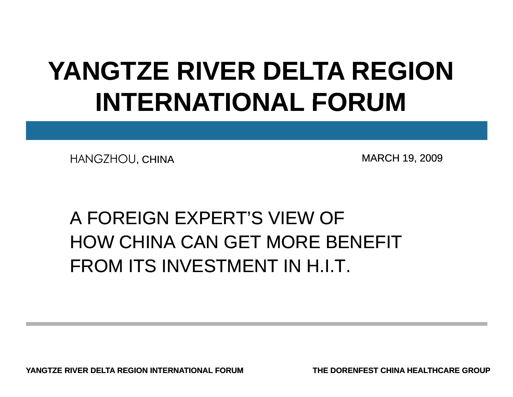# **YANGTZE RIVER DELTA REGION INTERNATIONAL FORUM**

HANGZHOU, CHINA MARCH 19, 2009

## A FOREIGN EXPERT'S VIEW OF HOW CHINA CAN GET MORE BENEFITFROM ITS INVESTMENT IN H.I.T.

**YANGTZE RIVER DELTA REGION INTERNATIONAL FORUM**

**THE DORENFEST CHINA HEALTHCARE GROUP**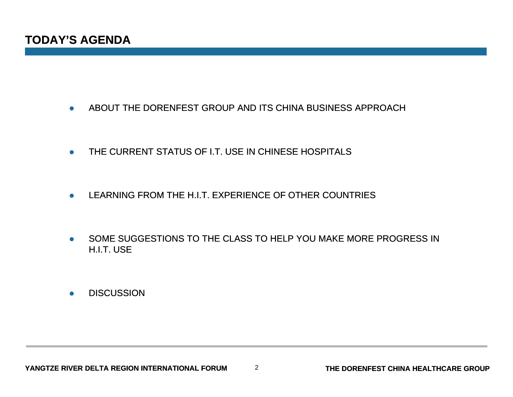- $\bullet$ ABOUT THE DORENFEST GROUP AND ITS CHINA BUSINESS APPROACH
- $\bullet$ THE CURRENT STATUS OF I.T. USE IN CHINESE HOSPITALS
- $\bullet$ LEARNING FROM THE H.I.T. EXPERIENCE OF OTHER COUNTRIES
- $\bullet$  SOME SUGGESTIONS TO THE CLASS TO HELP YOU MAKE MORE PROGRESS IN H.I.T. USE
- $\bullet$ **DISCUSSION**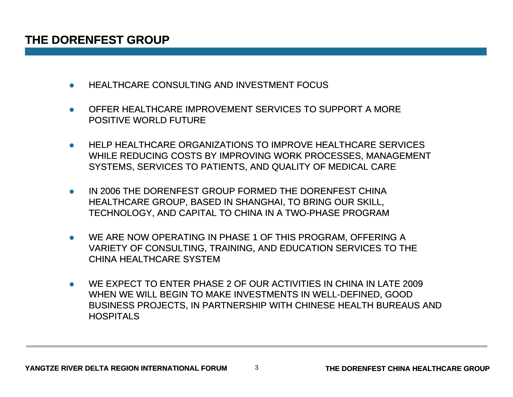- $\bullet$ HEALTHCARE CONSULTING AND INVESTMENT FOCUS
- $\bullet$  OFFER HEALTHCARE IMPROVEMENT SERVICES TO SUPPORT A MORE POSITIVE WORLD FUTURE
- $\bullet$  HELP HEALTHCARE ORGANIZATIONS TO IMPROVE HEALTHCARE SERVICES WHILE REDUCING COSTS BY IMPROVING WORK PROCESSES, MANAGEMENT SYSTEMS, SERVICES TO PATIENTS, AND QUALITY OF MEDICAL CARE
- 0 IN 2006 THE DORENFEST GROUP FORMED THE DORENFEST CHINA HEALTHCARE GROUP, BASED IN SHANGHAI, TO BRING OUR SKILL, TECHNOLOGY, AND CAPITAL TO CHINA IN A TWO-PHASE PROGRAM
- $\bullet$  WE ARE NOW OPERATING IN PHASE 1 OF THIS PROGRAM, OFFERING A VARIETY OF CONSULTING, TRAINING, AND EDUCATION SERVICES TO THE CHINA HEALTHCARE SYSTEM
- 0 WE EXPECT TO ENTER PHASE 2 OF OUR ACTIVITIES IN CHINA IN LATE 2009 WHEN WE WILL BEGIN TO MAKE INVESTMENTS IN WELL-DEFINED, GOOD BUSINESS PROJECTS, IN PARTNERSHIP WITH CHINESE HEALTH BUREAUS AND **HOSPITALS**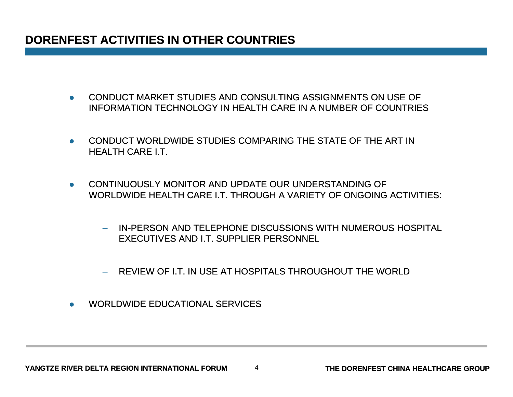### **DORENFEST ACTIVITIES IN OTHER COUNTRIES**

- $\bullet$  CONDUCT MARKET STUDIES AND CONSULTING ASSIGNMENTS ON USE OF INFORMATION TECHNOLOGY IN HEALTH CARE IN A NUMBER OF COUNTRIES
- $\bullet$  CONDUCT WORLDWIDE STUDIES COMPARING THE STATE OF THE ART IN HEALTH CARE I.T.
- $\bullet$  CONTINUOUSLY MONITOR AND UPDATE OUR UNDERSTANDING OF WORLDWIDE HEALTH CARE I.T. THROUGH A VARIETY OF ONGOING ACTIVITIES:
	- IN-PERSON AND TELEPHONE DISCUSSIONS WITH NUMEROUS HOSPITAL EXECUTIVES AND I.T. SUPPLIER PERSONNEL
	- REVIEW OF I.T. IN USE AT HOSPITALS THROUGHOUT THE WORLD
- $\bullet$ WORLDWIDE EDUCATIONAL SERVICES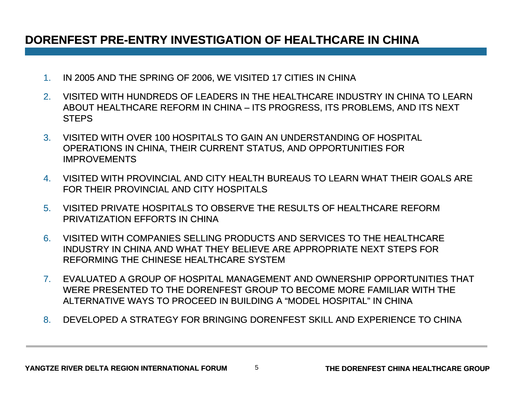### DORENFEST PRE-ENTRY INVESTIGATION OF HEALTHCARE IN CHINA

- 1.IN 2005 AND THE SPRING OF 2006, WE VISITED 17 CITIES IN CHINA
- 2. VISITED WITH HUNDREDS OF LEADERS IN THE HEALTHCARE INDUSTRY IN CHINA TO LEARN ABOUT HEALTHCARE REFORM IN CHINA – ITS PROGRESS, ITS PROBLEMS, AND ITS NEXT **STEPS**
- 3. VISITED WITH OVER 100 HOSPITALS TO GAIN AN UNDERSTANDING OF HOSPITAL OPERATIONS IN CHINA, THEIR CURRENT STATUS, AND OPPORTUNITIES FOR IMPROVEMENTS
- 4. VISITED WITH PROVINCIAL AND CITY HEALTH BUREAUS TO LEARN WHAT THEIR GOALS ARE FOR THEIR PROVINCIAL AND CITY HOSPITALS
- 5. VISITED PRIVATE HOSPITALS TO OBSERVE THE RESULTS OF HEALTHCARE REFORM PRIVATIZATION EFFORTS IN CHINA
- 6. VISITED WITH COMPANIES SELLING PRODUCTS AND SERVICES TO THE HEALTHCARE INDUSTRY IN CHINA AND WHAT THEY BELIEVE ARE APPROPRIATE NEXT STEPS FOR REFORMING THE CHINESE HEALTHCARE SYSTEM
- 7. EVALUATED A GROUP OF HOSPITAL MANAGEMENT AND OWNERSHIP OPPORTUNITIES THAT WERE PRESENTED TO THE DORENFEST GROUP TO BECOME MORE FAMILIAR WITH THE ALTERNATIVE WAYS TO PROCEED IN BUILDING A "MODEL HOSPITAL" IN CHINA
- 8. DEVELOPED A STRATEGY FOR BRINGING DORENFEST SKILL AND EXPERIENCE TO CHINA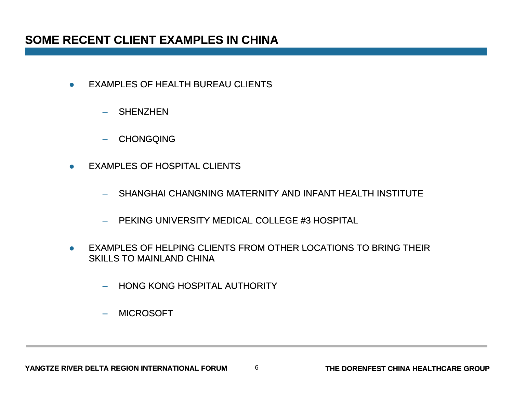- $\bullet$  EXAMPLES OF HEALTH BUREAU CLIENTS
	- SHENZHEN
	- CHONGQING
- $\bullet$  EXAMPLES OF HOSPITAL CLIENTS
	- SHANGHAI CHANGNING MATERNITY AND INFANT HEALTH INSTITUTE
	- PEKING UNIVERSITY MEDICAL COLLEGE #3 HOSPITAL
- $\bullet$  EXAMPLES OF HELPING CLIENTS FROM OTHER LOCATIONS TO BRING THEIR SKILLS TO MAINLAND CHINA

6

- HONG KONG HOSPITAL AUTHORITY
- MICROSOFT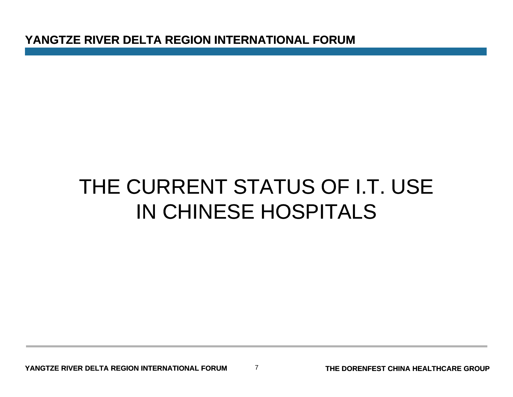**YANGTZE RIVER DELTA REGION INTERNATIONAL FORUM**

# THE CURRENT STATUS OF I.T. USE IN CHINESE HOSPITALS

7

**THE DORENFEST CHINA HEALTHCARE GROUP**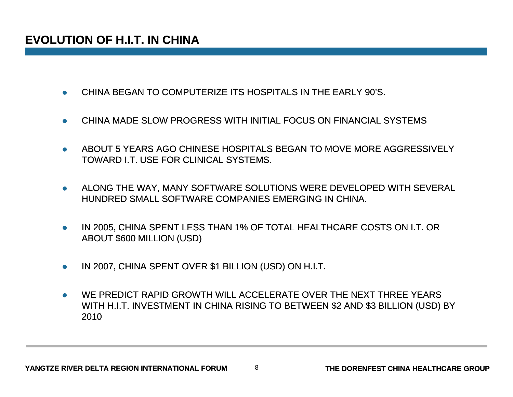- $\bullet$ CHINA BEGAN TO COMPUTERIZE ITS HOSPITALS IN THE EARLY 90'S.
- $\bullet$ CHINA MADE SLOW PROGRESS WITH INITIAL FOCUS ON FINANCIAL SYSTEMS
- 0 ABOUT 5 YEARS AGO CHINESE HOSPITALS BEGAN TO MOVE MORE AGGRESSIVELY TOWARD I.T. USE FOR CLINICAL SYSTEMS.
- $\bullet$  ALONG THE WAY, MANY SOFTWARE SOLUTIONS WERE DEVELOPED WITH SEVERAL HUNDRED SMALL SOFTWARE COMPANIES EMERGING IN CHINA.
- $\bullet$  IN 2005, CHINA SPENT LESS THAN 1% OF TOTAL HEALTHCARE COSTS ON I.T. OR ABOUT \$600 MILLION (USD)
- $\bullet$ IN 2007, CHINA SPENT OVER \$1 BILLION (USD) ON H.I.T.
- $\bullet$  WE PREDICT RAPID GROWTH WILL ACCELERATE OVER THE NEXT THREE YEARS WITH H.I.T. INVESTMENT IN CHINA RISING TO BETWEEN \$2 AND \$3 BILLION (USD) BY 2010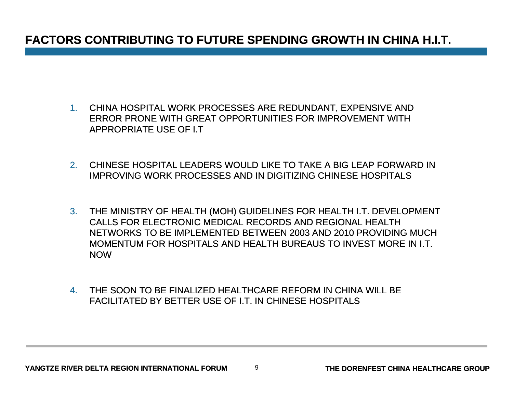### **FACTORS CONTRIBUTING TO FUTURE SPENDING GROWTH IN CHINA H.I.T.**

- 1. CHINA HOSPITAL WORK PROCESSES ARE REDUNDANT, EXPENSIVE AND ERROR PRONE WITH GREAT OPPORTUNITIES FOR IMPROVEMENT WITH APPROPRIATE USE OF I.T
- 2. CHINESE HOSPITAL LEADERS WOULD LIKE TO TAKE A BIG LEAP FORWARD IN IMPROVING WORK PROCESSES AND IN DIGITIZING CHINESE HOSPITALS
- 3. THE MINISTRY OF HEALTH (MOH) GUIDELINES FOR HEALTH I.T. DEVELOPMENT CALLS FOR ELECTRONIC MEDICAL RECORDS AND REGIONAL HEALTH NETWORKS TO BE IMPLEMENTED BETWEEN 2003 AND 2010 PROVIDING MUCH MOMENTUM FOR HOSPITALS AND HEALTH BUREAUS TO INVEST MORE IN I.T. NOW
- 4. THE SOON TO BE FINALIZED HEALTHCARE REFORM IN CHINA WILL BE FACILITATED BY BETTER USE OF I.T. IN CHINESE HOSPITALS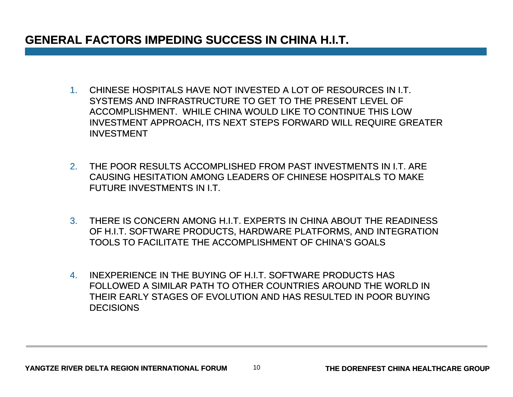### **GENERAL FACTORS IMPEDING SUCCESS IN CHINA H.I.T.**

- 1. CHINESE HOSPITALS HAVE NOT INVESTED A LOT OF RESOURCES IN I.T. SYSTEMS AND INFRASTRUCTURE TO GET TO THE PRESENT LEVEL OF ACCOMPLISHMENT. WHILE CHINA WOULD LIKE TO CONTINUE THIS LOW INVESTMENT APPROACH, ITS NEXT STEPS FORWARD WILL REQUIRE GREATER INVESTMENT
- 2. THE POOR RESULTS ACCOMPLISHED FROM PAST INVESTMENTS IN I.T. ARE CAUSING HESITATION AMONG LEADERS OF CHINESE HOSPITALS TO MAKE FUTURE INVESTMENTS IN I.T.
- 3. THERE IS CONCERN AMONG H.I.T. EXPERTS IN CHINA ABOUT THE READINESS OF H.I.T. SOFTWARE PRODUCTS, HARDWARE PLATFORMS, AND INTEGRATION TOOLS TO FACILITATE THE ACCOMPLISHMENT OF CHINA'S GOALS
- 4. INEXPERIENCE IN THE BUYING OF H.I.T. SOFTWARE PRODUCTS HAS FOLLOWED A SIMILAR PATH TO OTHER COUNTRIES AROUND THE WORLD IN THEIR EARLY STAGES OF EVOLUTION AND HAS RESULTED IN POOR BUYINGDECISIONS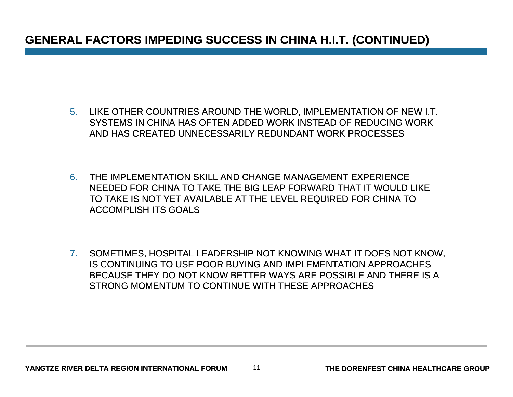### **GENERAL FACTORS IMPEDING SUCCESS IN CHINA H.I.T. (CONTINUED)**

- 5. LIKE OTHER COUNTRIES AROUND THE WORLD, IMPLEMENTATION OF NEW I.T. SYSTEMS IN CHINA HAS OFTEN ADDED WORK INSTEAD OF REDUCING WORK AND HAS CREATED UNNECESSARILY REDUNDANT WORK PROCESSES
- 6. THE IMPLEMENTATION SKILL AND CHANGE MANAGEMENT EXPERIENCE NEEDED FOR CHINA TO TAKE THE BIG LEAP FORWARD THAT IT WOULD LIKE TO TAKE IS NOT YET AVAILABLE AT THE LEVEL REQUIRED FOR CHINA TO ACCOMPLISH ITS GOALS
- 7. SOMETIMES, HOSPITAL LEADERSHIP NOT KNOWING WHAT IT DOES NOT KNOW, IS CONTINUING TO USE POOR BUYING AND IMPLEMENTATION APPROACHES BECAUSE THEY DO NOT KNOW BETTER WAYS ARE POSSIBLE AND THERE IS A STRONG MOMENTUM TO CONTINUE WITH THESE APPROACHES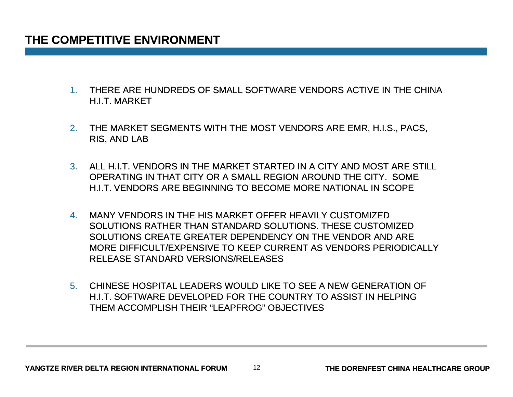### **THE COMPETITIVE ENVIRONMENT**

- 1. THERE ARE HUNDREDS OF SMALL SOFTWARE VENDORS ACTIVE IN THE CHINA H.I.T. MARKET
- 2. THE MARKET SEGMENTS WITH THE MOST VENDORS ARE EMR, H.I.S., PACS, RIS, AND LAB
- 3. ALL H.I.T. VENDORS IN THE MARKET STARTED IN A CITY AND MOST ARE STILL OPERATING IN THAT CITY OR A SMALL REGION AROUND THE CITY. SOME H.I.T. VENDORS ARE BEGINNING TO BECOME MORE NATIONAL IN SCOPE
- 4. MANY VENDORS IN THE HIS MARKET OFFER HEAVILY CUSTOMIZED SOLUTIONS RATHER THAN STANDARD SOLUTIONS. THESE CUSTOMIZED SOLUTIONS CREATE GREATER DEPENDENCY ON THE VENDOR AND ARE MORE DIFFICULT/EXPENSIVE TO KEEP CURRENT AS VENDORS PERIODICALLY CURRENT RELEASE STANDARD VERSIONS/RELEASES
- 5. CHINESE HOSPITAL LEADERS WOULD LIKE TO SEE A NEW GENERATION OF H.I.T. SOFTWARE DEVELOPED FOR THE COUNTRY TO ASSIST IN HELPING THEM ACCOMPLISH THEIR "LEAPFROG" OBJECTIVES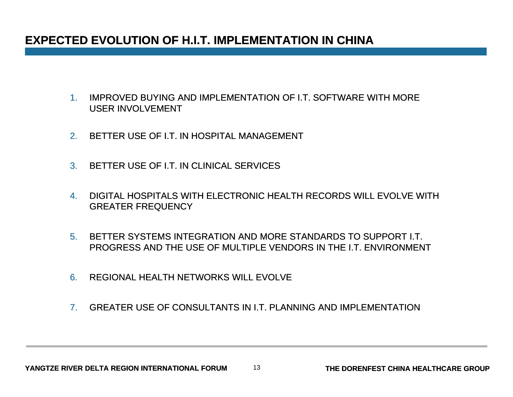### **EXPECTED EVOLUTION OF H.I.T. IMPLEMENTATION IN CHINA**

- 1. IMPROVED BUYING AND IMPLEMENTATION OF I.T. SOFTWARE WITH MORE USER INVOLVEMENT
- 2.BETTER USE OF I.T. IN HOSPITAL MANAGEMENT
- 3. BETTER USE OF I.T. IN CLINICAL SERVICES
- 4. DIGITAL HOSPITALS WITH ELECTRONIC HEALTH RECORDS WILL EVOLVE WITH EVOLVE WITH GREATER FREQUENCY
- 5. BETTER SYSTEMS INTEGRATION AND MORE STANDARDS TO SUPPORT I.T. PROGRESS AND THE USE OF MULTIPLE VENDORS IN THE I.T. ENVIRONMENT
- 6.REGIONAL HEALTH NETWORKS WILL EVOLVE
- 7.GREATER USE OF CONSULTANTS IN I.T. PLANNING AND IMPLEMENTATION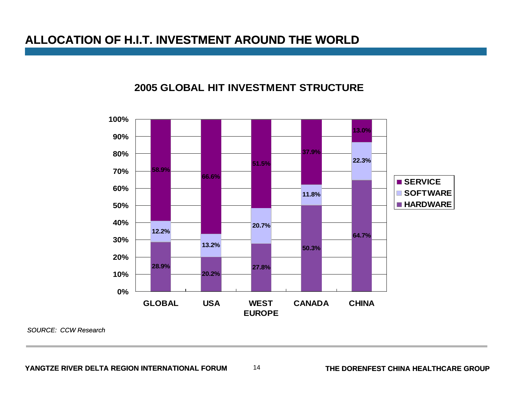### **ALLOCATION OF H.I.T. INVESTMENT AROUND THE WORLD**

#### **2005 GLOBAL HIT INVESTMENT STRUCTURE**



*SOURCE: CCW Research*

**YANGTZE RIVER DELTA REGION INTERNATIONAL FORUM**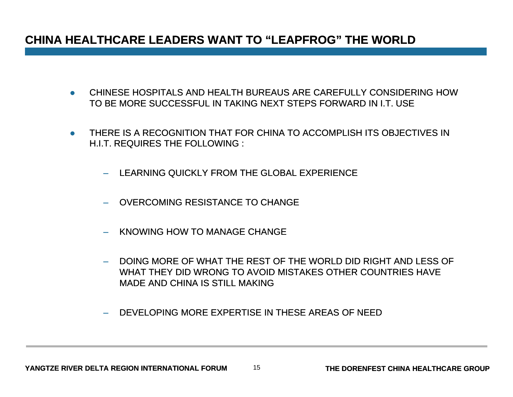### **CHINA HEALTHCARE LEADERS WANT TO "LEAPFROG" THE WORLD**

- CHINESE HOSPITALS AND HEALTH BUREAUS ARE CAREFULLY CONSIDERING HOW TO BE MORE SUCCESSFUL IN TAKING NEXT STEPS FORWARD IN I.T. USE
- THERE IS A RECOGNITION THAT FOR CHINA TO ACCOMPLISH ITS OBJECTIVES IN H.I.T. REQUIRES THE FOLLOWING :
	- LEARNING QUICKLY FROM THE GLOBAL EXPERIENCE
	- OVERCOMING RESISTANCE TO CHANGE
	- KNOWING HOW TO MANAGE CHANGE
	- DOING MORE OF WHAT THE REST OF THE WORLD DID RIGHT AND LESS OF WHAT THEY DID WRONG TO AVOID MISTAKES OTHER COUNTRIES HAVE MADE AND CHINA IS STILL MAKING
	- DEVELOPING MORE EXPERTISE IN THESE AREAS OF NEED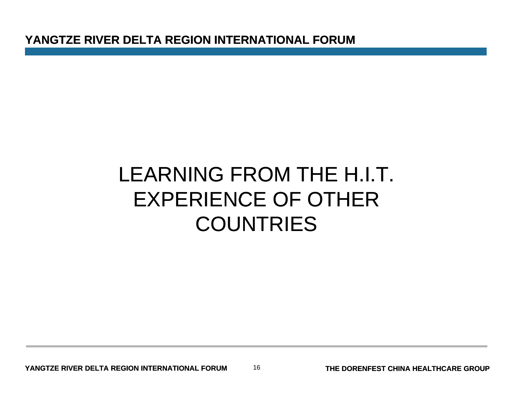**YANGTZE RIVER DELTA REGION INTERNATIONAL FORUM**

### LEARNING FROM THE H.I.T. EXPERIENCE OF OTHER,一个人的人都是一个人的人,就算是一个人的人,就算是一个人的人,就算是一个人的人,就算是一个人的人,我们就是一个人的人,我们就是一个人的人,我们就是一个人的人, **COUNTRIES**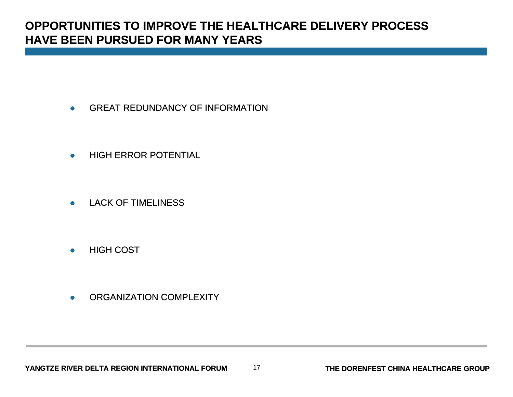### **OPPORTUNITIES TO IMPROVE THE HEALTHCARE DELIVERY PROCESS HAVE BEEN PURSUED FOR MANY YEARS**

- $\bullet$ GREAT REDUNDANCY OF INFORMATION
- $\bullet$ HIGH ERROR POTENTIAL
- $\bullet$ LACK OF TIMELINESS
- $\bullet$ HIGH COST
- $\bullet$ ORGANIZATION COMPLEXITY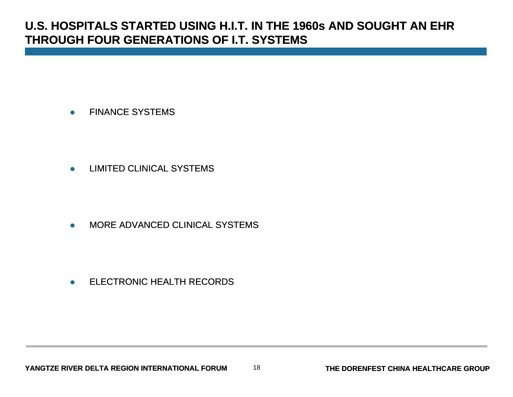### **U.S. HOSPITALS STARTED USING H.I.T. IN THE 1960s AND SOUGHT AN EHR THROUGH FOUR GENERATIONS OF I.T. SYSTEMS**

 $\bullet$ FINANCE SYSTEMS

 $\bullet$ LIMITED CLINICAL SYSTEMS

 $\bullet$ MORE ADVANCED CLINICAL SYSTEMS

 $\bullet$ ELECTRONIC HEALTH RECORDS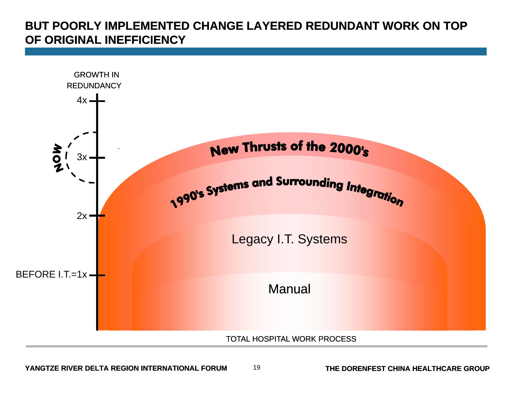### **BUT POORLY IMPLEMENTED CHANGE LAYERED REDUNDANT WORK ON TOP OF ORIGINAL INEFFICIENCY**

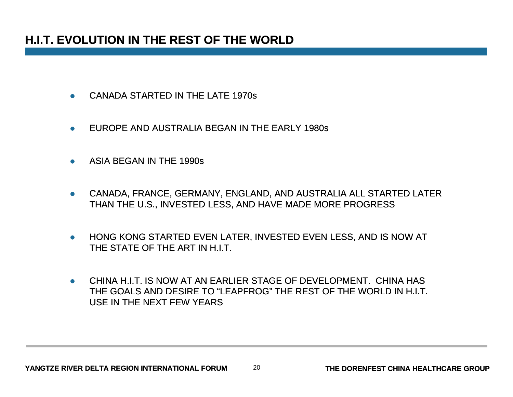### **H.I.T. EVOLUTION IN THE REST OF THE WORLD**

- $\bullet$ CANADA STARTED IN THE LATE 1970s
- $\bullet$ EUROPE AND AUSTRALIA BEGAN IN THE EARLY 1980s
- $\bullet$ ASIA BEGAN IN THE 1990s
- $\bullet$  CANADA, FRANCE, GERMANY, ENGLAND, AND AUSTRALIA ALL STARTED LATER THAN THE U.S., INVESTED LESS, AND HAVE MADE MORE PROGRESS
- $\bullet$  HONG KONG STARTED EVEN LATER, INVESTED EVEN LESS, AND IS NOW AT THE STATE OF THE ART IN H.I.T.
- $\bullet$  CHINA H.I.T. IS NOW AT AN EARLIER STAGE OF DEVELOPMENT. CHINA HAS THE GOALS AND DESIRE TO "LEAPFROG" THE REST OF THE WORLD IN H.I.T. USE IN THE NEXT FEW YEARS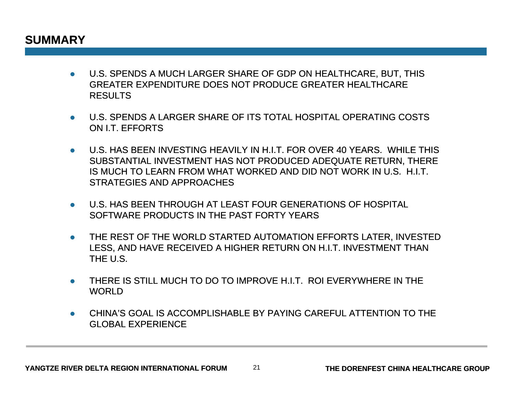### **SUMMARY**

- U.S. SPENDS A MUCH LARGER SHARE OF GDP ON HEALTHCARE, BUT, THIS GREATER EXPENDITURE DOES NOT PRODUCE GREATER HEALTHCARE RESULTS
- U.S. SPENDS A LARGER SHARE OF ITS TOTAL HOSPITAL OPERATING COSTS ON I.T. EFFORTS
- $\bullet$   $\;$  U.S. HAS BEEN INVESTING HEAVILY IN H.I.T. FOR OVER 40 YEARS. WHILE THIS SUBSTANTIAL INVESTMENT HAS NOT PRODUCED ADEQUATE RETURN, THERE IS MUCH TO LEARN FROM WHAT WORKED AND DID NOT WORK IN U.S. H.I.T. STRATEGIES AND APPROACHES
- U.S. HAS BEEN THROUGH AT LEAST FOUR GENERATIONS OF HOSPITAL SOFTWARE PRODUCTS IN THE PAST FORTY YEARS
- $\bullet$  THE REST OF THE WORLD STARTED AUTOMATION EFFORTS LATER, INVESTED LESS, AND HAVE RECEIVED A HIGHER RETURN ON H.I.T. INVESTMENT THAN THE U.S.
- THERE IS STILL MUCH TO DO TO IMPROVE H.I.T. ROI EVERYWHERE IN THE **WORLD**
- $\bullet$  CHINA'S GOAL IS ACCOMPLISHABLE BY PAYING CAREFUL ATTENTION TO THE GLOBAL EXPERIENCE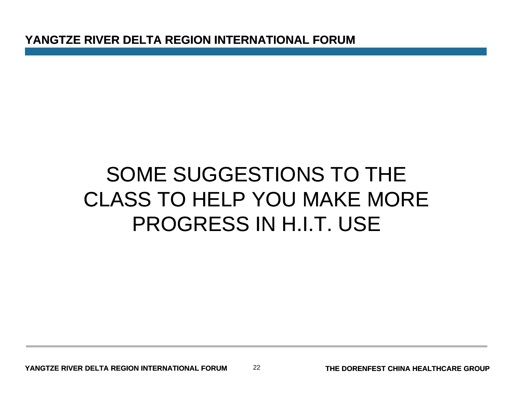**YANGTZE RIVER DELTA REGION INTERNATIONAL FORUM**

# SOME SUGGESTIONS TO THE CLASS TO HELP YOU MAKE MOREPROGRESS IN H.I.T. USE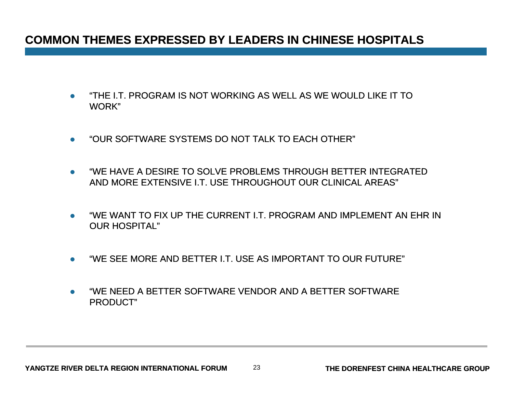### **COMMON THEMES EXPRESSED BY LEADERS IN CHINESE HOSPITALS**

- $\bullet$  "THE I.T. PROGRAM IS NOT WORKING AS WELL AS WE WOULD LIKE IT TO WORK"
- $\bullet$ "OUR SOFTWARE SYSTEMS DO NOT TALK TO EACH OTHER"
- $\bullet$  "WE HAVE A DESIRE TO SOLVE PROBLEMS THROUGH BETTER INTEGRATED AND MORE EXTENSIVE I.T. USE THROUGHOUT OUR CLINICAL AREAS"
- $\bullet$ "WE WANT TO FIX UP THE CURRENT I.T. PROGRAM AND IMPLEMENT AN EHR IN OUR HOSPITAL"
- $\bullet$ "WE SEE MORE AND BETTER I.T. USE AS IMPORTANT TO OUR FUTURE"
- $\bullet$  "WE NEED A BETTER SOFTWARE VENDOR AND A BETTER SOFTWARE PRODUCT"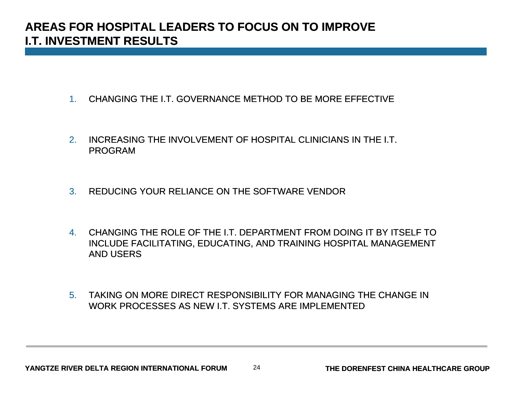### **AREAS FOR HOSPITAL LEADERS TO FOCUS ON TO IMPROVE I.T. INVESTMENT RESULTS**

- 1. CHANGING THE I.T. GOVERNANCE METHOD TO BE MORE EFFECTIVE
- 2. INCREASING THE INVOLVEMENT OF HOSPITAL CLINICIANS IN THE I.T. PROGRAM
- 3.REDUCING YOUR RELIANCE ON THE SOFTWARE VENDOR
- 4. CHANGING THE ROLE OF THE I.T. DEPARTMENT FROM DOING IT BY ITSELF TO INCLUDE FACILITATING, EDUCATING, AND TRAINING HOSPITAL MANAGEMENT AND USERS
- 5. TAKING ON MORE DIRECT RESPONSIBILITY FOR MANAGING THE CHANGE IN WORK PROCESSES AS NEW I.T. SYSTEMS ARE IMPLEMENTED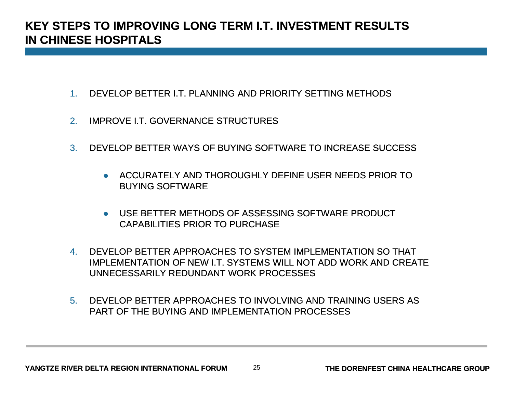### **KEY STEPS TO IMPROVING LONG TERM I.T. INVESTMENT RESULTS IN CHINESE HOSPITALS**

- 1.DEVELOP BETTER I.T. PLANNING AND PRIORITY SETTING METHODS
- 2.IMPROVE I.T. GOVERNANCE STRUCTURES
- 3.. DEVELOP BETTER WAYS OF BUYING SOFTWARE TO INCREASE SUCCESS
	- **ACCURATELY AND THOROUGHLY DEFINE USER NEEDS PRIOR TO** BUYING SOFTWARE
	- USE BETTER METHODS OF ASSESSING SOFTWARE PRODUCT CAPABILITIES PRIOR TO PURCHASE
- 4. DEVELOP BETTER APPROACHES TO SYSTEM IMPLEMENTATION SO THAT IMPLEMENTATION OF NEW I.T. SYSTEMS WILL NOT ADD WORK AND CREATE UNNECESSARILY REDUNDANT WORK PROCESSES
- 5. DEVELOP BETTER APPROACHES TO INVOLVING AND TRAINING USERS ASPART OF THE BUYING AND IMPLEMENTATION PROCESSES